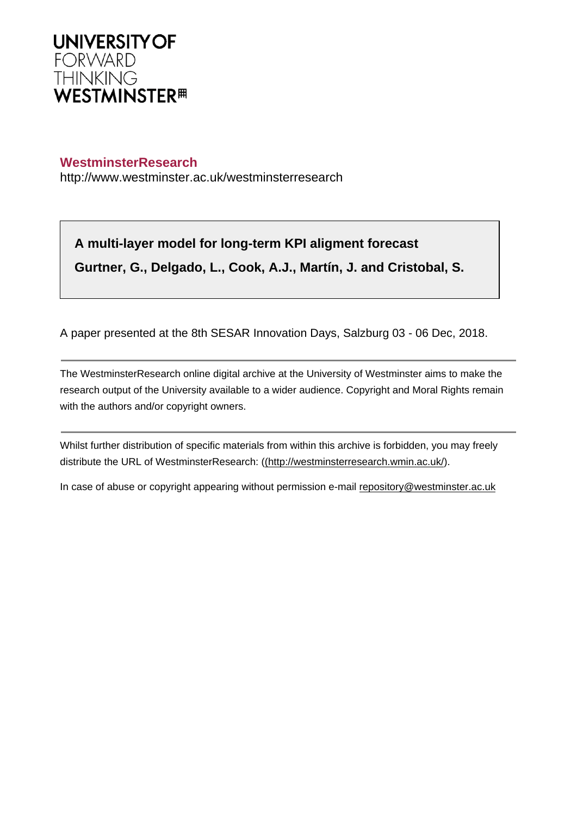

# **WestminsterResearch**

http://www.westminster.ac.uk/westminsterresearch

**A multi-layer model for long-term KPI aligment forecast Gurtner, G., Delgado, L., Cook, A.J., Martín, J. and Cristobal, S.**

A paper presented at the 8th SESAR Innovation Days, Salzburg 03 - 06 Dec, 2018.

The WestminsterResearch online digital archive at the University of Westminster aims to make the research output of the University available to a wider audience. Copyright and Moral Rights remain with the authors and/or copyright owners.

Whilst further distribution of specific materials from within this archive is forbidden, you may freely distribute the URL of WestminsterResearch: [\(\(http://westminsterresearch.wmin.ac.uk/](http://westminsterresearch.wmin.ac.uk/)).

In case of abuse or copyright appearing without permission e-mail <repository@westminster.ac.uk>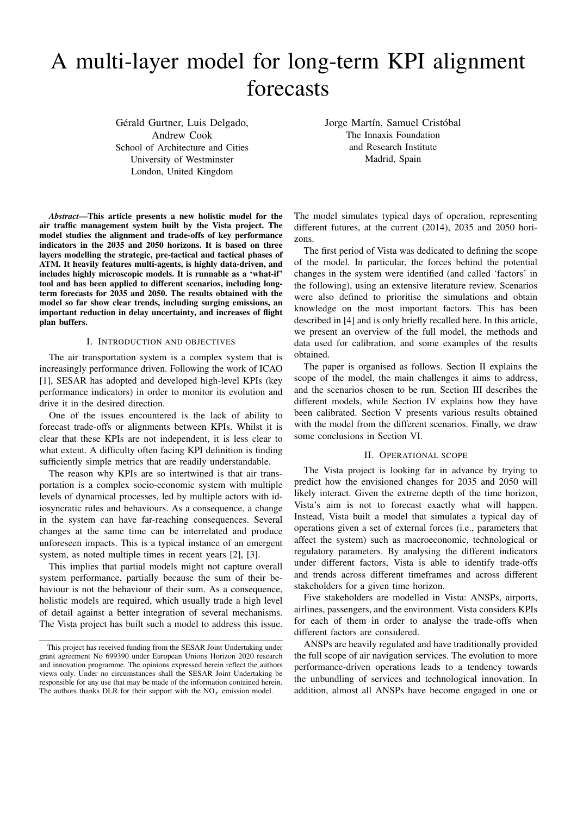# A multi-layer model for long-term KPI alignment forecasts

Gérald Gurtner, Luis Delgado, Andrew Cook School of Architecture and Cities University of Westminster London, United Kingdom

*Abstract*—This article presents a new holistic model for the air traffic management system built by the Vista project. The model studies the alignment and trade-offs of key performance indicators in the 2035 and 2050 horizons. It is based on three layers modelling the strategic, pre-tactical and tactical phases of ATM. It heavily features multi-agents, is highly data-driven, and includes highly microscopic models. It is runnable as a 'what-if' tool and has been applied to different scenarios, including longterm forecasts for 2035 and 2050. The results obtained with the model so far show clear trends, including surging emissions, an important reduction in delay uncertainty, and increases of flight plan buffers.

#### I. INTRODUCTION AND OBJECTIVES

The air transportation system is a complex system that is increasingly performance driven. Following the work of ICAO [1], SESAR has adopted and developed high-level KPIs (key performance indicators) in order to monitor its evolution and drive it in the desired direction.

One of the issues encountered is the lack of ability to forecast trade-offs or alignments between KPIs. Whilst it is clear that these KPIs are not independent, it is less clear to what extent. A difficulty often facing KPI definition is finding sufficiently simple metrics that are readily understandable.

The reason why KPIs are so intertwined is that air transportation is a complex socio-economic system with multiple levels of dynamical processes, led by multiple actors with idiosyncratic rules and behaviours. As a consequence, a change in the system can have far-reaching consequences. Several changes at the same time can be interrelated and produce unforeseen impacts. This is a typical instance of an emergent system, as noted multiple times in recent years [2], [3].

This implies that partial models might not capture overall system performance, partially because the sum of their behaviour is not the behaviour of their sum. As a consequence, holistic models are required, which usually trade a high level of detail against a better integration of several mechanisms. The Vista project has built such a model to address this issue.

Jorge Martín, Samuel Cristóbal The Innaxis Foundation and Research Institute Madrid, Spain

The model simulates typical days of operation, representing different futures, at the current (2014), 2035 and 2050 horizons.

The first period of Vista was dedicated to defining the scope of the model. In particular, the forces behind the potential changes in the system were identified (and called 'factors' in the following), using an extensive literature review. Scenarios were also defined to prioritise the simulations and obtain knowledge on the most important factors. This has been described in [4] and is only briefly recalled here. In this article, we present an overview of the full model, the methods and data used for calibration, and some examples of the results obtained.

The paper is organised as follows. Section II explains the scope of the model, the main challenges it aims to address, and the scenarios chosen to be run. Section III describes the different models, while Section IV explains how they have been calibrated. Section V presents various results obtained with the model from the different scenarios. Finally, we draw some conclusions in Section VI.

#### II. OPERATIONAL SCOPE

The Vista project is looking far in advance by trying to predict how the envisioned changes for 2035 and 2050 will likely interact. Given the extreme depth of the time horizon, Vista's aim is not to forecast exactly what will happen. Instead, Vista built a model that simulates a typical day of operations given a set of external forces (i.e., parameters that affect the system) such as macroeconomic, technological or regulatory parameters. By analysing the different indicators under different factors, Vista is able to identify trade-offs and trends across different timeframes and across different stakeholders for a given time horizon.

Five stakeholders are modelled in Vista: ANSPs, airports, airlines, passengers, and the environment. Vista considers KPIs for each of them in order to analyse the trade-offs when different factors are considered.

ANSPs are heavily regulated and have traditionally provided the full scope of air navigation services. The evolution to more performance-driven operations leads to a tendency towards the unbundling of services and technological innovation. In addition, almost all ANSPs have become engaged in one or

This project has received funding from the SESAR Joint Undertaking under grant agreement No 699390 under European Unions Horizon 2020 research and innovation programme. The opinions expressed herein reflect the authors views only. Under no circumstances shall the SESAR Joint Undertaking be responsible for any use that may be made of the information contained herein. The authors thanks DLR for their support with the  $NO<sub>x</sub>$  emission model.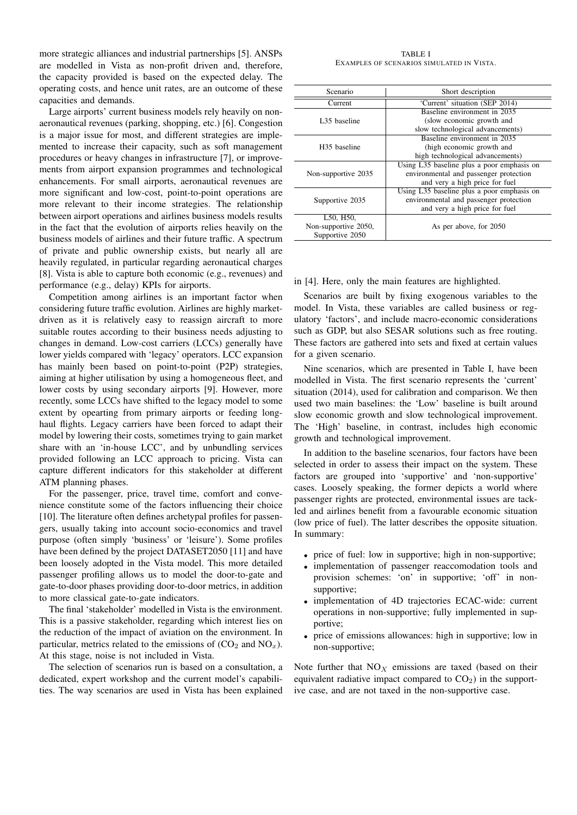more strategic alliances and industrial partnerships [5]. ANSPs are modelled in Vista as non-profit driven and, therefore, the capacity provided is based on the expected delay. The operating costs, and hence unit rates, are an outcome of these capacities and demands.

Large airports' current business models rely heavily on nonaeronautical revenues (parking, shopping, etc.) [6]. Congestion is a major issue for most, and different strategies are implemented to increase their capacity, such as soft management procedures or heavy changes in infrastructure [7], or improvements from airport expansion programmes and technological enhancements. For small airports, aeronautical revenues are more significant and low-cost, point-to-point operations are more relevant to their income strategies. The relationship between airport operations and airlines business models results in the fact that the evolution of airports relies heavily on the business models of airlines and their future traffic. A spectrum of private and public ownership exists, but nearly all are heavily regulated, in particular regarding aeronautical charges [8]. Vista is able to capture both economic (e.g., revenues) and performance (e.g., delay) KPIs for airports.

Competition among airlines is an important factor when considering future traffic evolution. Airlines are highly marketdriven as it is relatively easy to reassign aircraft to more suitable routes according to their business needs adjusting to changes in demand. Low-cost carriers (LCCs) generally have lower yields compared with 'legacy' operators. LCC expansion has mainly been based on point-to-point (P2P) strategies, aiming at higher utilisation by using a homogeneous fleet, and lower costs by using secondary airports [9]. However, more recently, some LCCs have shifted to the legacy model to some extent by opearting from primary airports or feeding longhaul flights. Legacy carriers have been forced to adapt their model by lowering their costs, sometimes trying to gain market share with an 'in-house LCC', and by unbundling services provided following an LCC approach to pricing. Vista can capture different indicators for this stakeholder at different ATM planning phases.

For the passenger, price, travel time, comfort and convenience constitute some of the factors influencing their choice [10]. The literature often defines archetypal profiles for passengers, usually taking into account socio-economics and travel purpose (often simply 'business' or 'leisure'). Some profiles have been defined by the project DATASET2050 [11] and have been loosely adopted in the Vista model. This more detailed passenger profiling allows us to model the door-to-gate and gate-to-door phases providing door-to-door metrics, in addition to more classical gate-to-gate indicators.

The final 'stakeholder' modelled in Vista is the environment. This is a passive stakeholder, regarding which interest lies on the reduction of the impact of aviation on the environment. In particular, metrics related to the emissions of  $(CO_2$  and  $NO_x)$ . At this stage, noise is not included in Vista.

The selection of scenarios run is based on a consultation, a dedicated, expert workshop and the current model's capabilities. The way scenarios are used in Vista has been explained

TABLE I EXAMPLES OF SCENARIOS SIMULATED IN VISTA.

| Scenario                                             | Short description                                                                                                      |
|------------------------------------------------------|------------------------------------------------------------------------------------------------------------------------|
| Current                                              | 'Current' situation (SEP 2014)                                                                                         |
| L <sub>35</sub> baseline                             | Baseline environment in 2035                                                                                           |
|                                                      | (slow economic growth and<br>slow technological advancements)                                                          |
| H <sub>35</sub> baseline                             | Baseline environment in 2035                                                                                           |
|                                                      | (high economic growth and                                                                                              |
|                                                      | high technological advancements)                                                                                       |
| Non-supportive 2035                                  | Using L35 baseline plus a poor emphasis on<br>environmental and passenger protection<br>and very a high price for fuel |
| Supportive 2035                                      | Using L35 baseline plus a poor emphasis on<br>environmental and passenger protection<br>and very a high price for fuel |
| L50, H50,<br>Non-supportive 2050,<br>Supportive 2050 | As per above, for 2050                                                                                                 |

in [4]. Here, only the main features are highlighted.

Scenarios are built by fixing exogenous variables to the model. In Vista, these variables are called business or regulatory 'factors', and include macro-economic considerations such as GDP, but also SESAR solutions such as free routing. These factors are gathered into sets and fixed at certain values for a given scenario.

Nine scenarios, which are presented in Table I, have been modelled in Vista. The first scenario represents the 'current' situation (2014), used for calibration and comparison. We then used two main baselines: the 'Low' baseline is built around slow economic growth and slow technological improvement. The 'High' baseline, in contrast, includes high economic growth and technological improvement.

In addition to the baseline scenarios, four factors have been selected in order to assess their impact on the system. These factors are grouped into 'supportive' and 'non-supportive' cases. Loosely speaking, the former depicts a world where passenger rights are protected, environmental issues are tackled and airlines benefit from a favourable economic situation (low price of fuel). The latter describes the opposite situation. In summary:

- price of fuel: low in supportive; high in non-supportive;
- implementation of passenger reaccomodation tools and provision schemes: 'on' in supportive; 'off' in nonsupportive;
- implementation of 4D trajectories ECAC-wide: current operations in non-supportive; fully implemented in supportive;
- price of emissions allowances: high in supportive; low in non-supportive;

Note further that  $NO<sub>X</sub>$  emissions are taxed (based on their equivalent radiative impact compared to  $CO<sub>2</sub>$ ) in the supportive case, and are not taxed in the non-supportive case.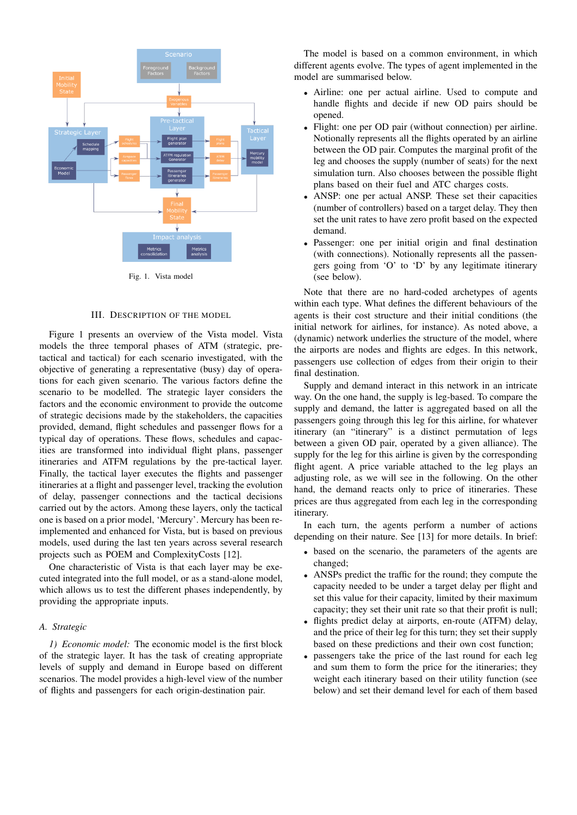

Fig. 1. Vista model

# III. DESCRIPTION OF THE MODEL

Figure 1 presents an overview of the Vista model. Vista models the three temporal phases of ATM (strategic, pretactical and tactical) for each scenario investigated, with the objective of generating a representative (busy) day of operations for each given scenario. The various factors define the scenario to be modelled. The strategic layer considers the factors and the economic environment to provide the outcome of strategic decisions made by the stakeholders, the capacities provided, demand, flight schedules and passenger flows for a typical day of operations. These flows, schedules and capacities are transformed into individual flight plans, passenger itineraries and ATFM regulations by the pre-tactical layer. Finally, the tactical layer executes the flights and passenger itineraries at a flight and passenger level, tracking the evolution of delay, passenger connections and the tactical decisions carried out by the actors. Among these layers, only the tactical one is based on a prior model, 'Mercury'. Mercury has been reimplemented and enhanced for Vista, but is based on previous models, used during the last ten years across several research projects such as POEM and ComplexityCosts [12].

One characteristic of Vista is that each layer may be executed integrated into the full model, or as a stand-alone model, which allows us to test the different phases independently, by providing the appropriate inputs.

# *A. Strategic*

*1) Economic model:* The economic model is the first block of the strategic layer. It has the task of creating appropriate levels of supply and demand in Europe based on different scenarios. The model provides a high-level view of the number of flights and passengers for each origin-destination pair.

The model is based on a common environment, in which different agents evolve. The types of agent implemented in the model are summarised below.

- Airline: one per actual airline. Used to compute and handle flights and decide if new OD pairs should be opened.
- Flight: one per OD pair (without connection) per airline. Notionally represents all the flights operated by an airline between the OD pair. Computes the marginal profit of the leg and chooses the supply (number of seats) for the next simulation turn. Also chooses between the possible flight plans based on their fuel and ATC charges costs.
- ANSP: one per actual ANSP. These set their capacities (number of controllers) based on a target delay. They then set the unit rates to have zero profit based on the expected demand.
- Passenger: one per initial origin and final destination (with connections). Notionally represents all the passengers going from 'O' to 'D' by any legitimate itinerary (see below).

Note that there are no hard-coded archetypes of agents within each type. What defines the different behaviours of the agents is their cost structure and their initial conditions (the initial network for airlines, for instance). As noted above, a (dynamic) network underlies the structure of the model, where the airports are nodes and flights are edges. In this network, passengers use collection of edges from their origin to their final destination.

Supply and demand interact in this network in an intricate way. On the one hand, the supply is leg-based. To compare the supply and demand, the latter is aggregated based on all the passengers going through this leg for this airline, for whatever itinerary (an "itinerary" is a distinct permutation of legs between a given OD pair, operated by a given alliance). The supply for the leg for this airline is given by the corresponding flight agent. A price variable attached to the leg plays an adjusting role, as we will see in the following. On the other hand, the demand reacts only to price of itineraries. These prices are thus aggregated from each leg in the corresponding itinerary.

In each turn, the agents perform a number of actions depending on their nature. See [13] for more details. In brief:

- based on the scenario, the parameters of the agents are changed;
- ANSPs predict the traffic for the round; they compute the capacity needed to be under a target delay per flight and set this value for their capacity, limited by their maximum capacity; they set their unit rate so that their profit is null;
- flights predict delay at airports, en-route (ATFM) delay, and the price of their leg for this turn; they set their supply based on these predictions and their own cost function;
- passengers take the price of the last round for each leg and sum them to form the price for the itineraries; they weight each itinerary based on their utility function (see below) and set their demand level for each of them based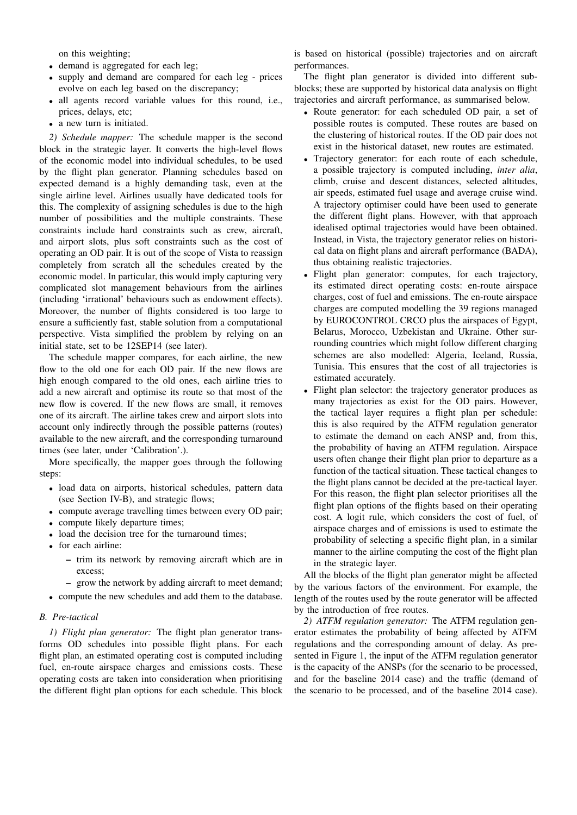on this weighting;

- demand is aggregated for each leg;
- supply and demand are compared for each leg prices evolve on each leg based on the discrepancy;
- all agents record variable values for this round, i.e., prices, delays, etc;
- a new turn is initiated.

*2) Schedule mapper:* The schedule mapper is the second block in the strategic layer. It converts the high-level flows of the economic model into individual schedules, to be used by the flight plan generator. Planning schedules based on expected demand is a highly demanding task, even at the single airline level. Airlines usually have dedicated tools for this. The complexity of assigning schedules is due to the high number of possibilities and the multiple constraints. These constraints include hard constraints such as crew, aircraft, and airport slots, plus soft constraints such as the cost of operating an OD pair. It is out of the scope of Vista to reassign completely from scratch all the schedules created by the economic model. In particular, this would imply capturing very complicated slot management behaviours from the airlines (including 'irrational' behaviours such as endowment effects). Moreover, the number of flights considered is too large to ensure a sufficiently fast, stable solution from a computational perspective. Vista simplified the problem by relying on an initial state, set to be 12SEP14 (see later).

The schedule mapper compares, for each airline, the new flow to the old one for each OD pair. If the new flows are high enough compared to the old ones, each airline tries to add a new aircraft and optimise its route so that most of the new flow is covered. If the new flows are small, it removes one of its aircraft. The airline takes crew and airport slots into account only indirectly through the possible patterns (routes) available to the new aircraft, and the corresponding turnaround times (see later, under 'Calibration'.).

More specifically, the mapper goes through the following steps:

- load data on airports, historical schedules, pattern data (see Section IV-B), and strategic flows;
- compute average travelling times between every OD pair;
- compute likely departure times;
- load the decision tree for the turnaround times;
- for each airline:
	- trim its network by removing aircraft which are in excess;
	- grow the network by adding aircraft to meet demand;
- compute the new schedules and add them to the database.

### *B. Pre-tactical*

*1) Flight plan generator:* The flight plan generator transforms OD schedules into possible flight plans. For each flight plan, an estimated operating cost is computed including fuel, en-route airspace charges and emissions costs. These operating costs are taken into consideration when prioritising the different flight plan options for each schedule. This block is based on historical (possible) trajectories and on aircraft performances.

The flight plan generator is divided into different subblocks; these are supported by historical data analysis on flight trajectories and aircraft performance, as summarised below.

- Route generator: for each scheduled OD pair, a set of possible routes is computed. These routes are based on the clustering of historical routes. If the OD pair does not exist in the historical dataset, new routes are estimated.
- Trajectory generator: for each route of each schedule, a possible trajectory is computed including, *inter alia*, climb, cruise and descent distances, selected altitudes, air speeds, estimated fuel usage and average cruise wind. A trajectory optimiser could have been used to generate the different flight plans. However, with that approach idealised optimal trajectories would have been obtained. Instead, in Vista, the trajectory generator relies on historical data on flight plans and aircraft performance (BADA), thus obtaining realistic trajectories.
- Flight plan generator: computes, for each trajectory, its estimated direct operating costs: en-route airspace charges, cost of fuel and emissions. The en-route airspace charges are computed modelling the 39 regions managed by EUROCONTROL CRCO plus the airspaces of Egypt, Belarus, Morocco, Uzbekistan and Ukraine. Other surrounding countries which might follow different charging schemes are also modelled: Algeria, Iceland, Russia, Tunisia. This ensures that the cost of all trajectories is estimated accurately.
- Flight plan selector: the trajectory generator produces as many trajectories as exist for the OD pairs. However, the tactical layer requires a flight plan per schedule: this is also required by the ATFM regulation generator to estimate the demand on each ANSP and, from this, the probability of having an ATFM regulation. Airspace users often change their flight plan prior to departure as a function of the tactical situation. These tactical changes to the flight plans cannot be decided at the pre-tactical layer. For this reason, the flight plan selector prioritises all the flight plan options of the flights based on their operating cost. A logit rule, which considers the cost of fuel, of airspace charges and of emissions is used to estimate the probability of selecting a specific flight plan, in a similar manner to the airline computing the cost of the flight plan in the strategic layer.

All the blocks of the flight plan generator might be affected by the various factors of the environment. For example, the length of the routes used by the route generator will be affected by the introduction of free routes.

*2) ATFM regulation generator:* The ATFM regulation generator estimates the probability of being affected by ATFM regulations and the corresponding amount of delay. As presented in Figure 1, the input of the ATFM regulation generator is the capacity of the ANSPs (for the scenario to be processed, and for the baseline 2014 case) and the traffic (demand of the scenario to be processed, and of the baseline 2014 case).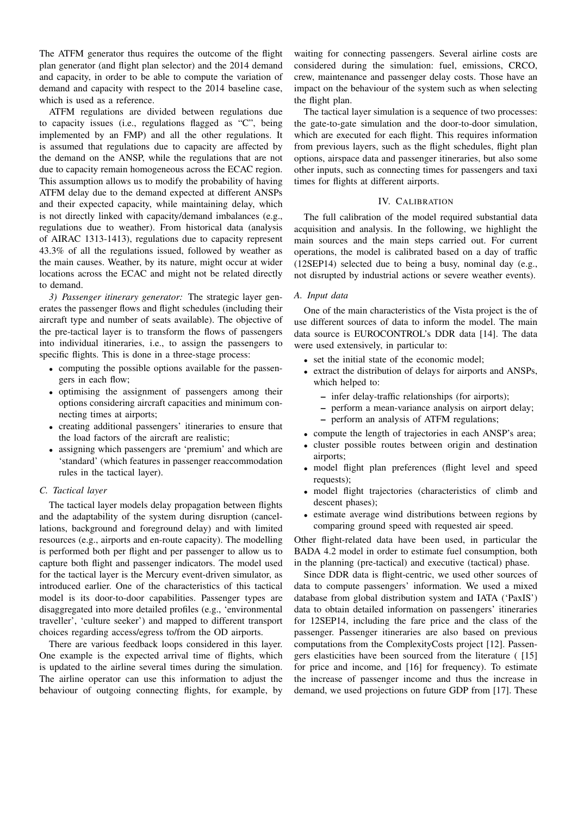The ATFM generator thus requires the outcome of the flight plan generator (and flight plan selector) and the 2014 demand and capacity, in order to be able to compute the variation of demand and capacity with respect to the 2014 baseline case, which is used as a reference.

ATFM regulations are divided between regulations due to capacity issues (i.e., regulations flagged as "C", being implemented by an FMP) and all the other regulations. It is assumed that regulations due to capacity are affected by the demand on the ANSP, while the regulations that are not due to capacity remain homogeneous across the ECAC region. This assumption allows us to modify the probability of having ATFM delay due to the demand expected at different ANSPs and their expected capacity, while maintaining delay, which is not directly linked with capacity/demand imbalances (e.g., regulations due to weather). From historical data (analysis of AIRAC 1313-1413), regulations due to capacity represent 43.3% of all the regulations issued, followed by weather as the main causes. Weather, by its nature, might occur at wider locations across the ECAC and might not be related directly to demand.

*3) Passenger itinerary generator:* The strategic layer generates the passenger flows and flight schedules (including their aircraft type and number of seats available). The objective of the pre-tactical layer is to transform the flows of passengers into individual itineraries, i.e., to assign the passengers to specific flights. This is done in a three-stage process:

- computing the possible options available for the passengers in each flow;
- optimising the assignment of passengers among their options considering aircraft capacities and minimum connecting times at airports;
- creating additional passengers' itineraries to ensure that the load factors of the aircraft are realistic;
- assigning which passengers are 'premium' and which are 'standard' (which features in passenger reaccommodation rules in the tactical layer).

# *C. Tactical layer*

The tactical layer models delay propagation between flights and the adaptability of the system during disruption (cancellations, background and foreground delay) and with limited resources (e.g., airports and en-route capacity). The modelling is performed both per flight and per passenger to allow us to capture both flight and passenger indicators. The model used for the tactical layer is the Mercury event-driven simulator, as introduced earlier. One of the characteristics of this tactical model is its door-to-door capabilities. Passenger types are disaggregated into more detailed profiles (e.g., 'environmental traveller', 'culture seeker') and mapped to different transport choices regarding access/egress to/from the OD airports.

There are various feedback loops considered in this layer. One example is the expected arrival time of flights, which is updated to the airline several times during the simulation. The airline operator can use this information to adjust the behaviour of outgoing connecting flights, for example, by

waiting for connecting passengers. Several airline costs are considered during the simulation: fuel, emissions, CRCO, crew, maintenance and passenger delay costs. Those have an impact on the behaviour of the system such as when selecting the flight plan.

The tactical layer simulation is a sequence of two processes: the gate-to-gate simulation and the door-to-door simulation, which are executed for each flight. This requires information from previous layers, such as the flight schedules, flight plan options, airspace data and passenger itineraries, but also some other inputs, such as connecting times for passengers and taxi times for flights at different airports.

# IV. CALIBRATION

The full calibration of the model required substantial data acquisition and analysis. In the following, we highlight the main sources and the main steps carried out. For current operations, the model is calibrated based on a day of traffic (12SEP14) selected due to being a busy, nominal day (e.g., not disrupted by industrial actions or severe weather events).

#### *A. Input data*

One of the main characteristics of the Vista project is the of use different sources of data to inform the model. The main data source is EUROCONTROL's DDR data [14]. The data were used extensively, in particular to:

- set the initial state of the economic model;
- extract the distribution of delays for airports and ANSPs, which helped to:
	- infer delay-traffic relationships (for airports);
	- perform a mean-variance analysis on airport delay;
	- perform an analysis of ATFM regulations;
- compute the length of trajectories in each ANSP's area;
- cluster possible routes between origin and destination airports;
- model flight plan preferences (flight level and speed requests);
- model flight trajectories (characteristics of climb and descent phases);
- estimate average wind distributions between regions by comparing ground speed with requested air speed.

Other flight-related data have been used, in particular the BADA 4.2 model in order to estimate fuel consumption, both in the planning (pre-tactical) and executive (tactical) phase.

Since DDR data is flight-centric, we used other sources of data to compute passengers' information. We used a mixed database from global distribution system and IATA ('PaxIS') data to obtain detailed information on passengers' itineraries for 12SEP14, including the fare price and the class of the passenger. Passenger itineraries are also based on previous computations from the ComplexityCosts project [12]. Passengers elasticities have been sourced from the literature ( [15] for price and income, and [16] for frequency). To estimate the increase of passenger income and thus the increase in demand, we used projections on future GDP from [17]. These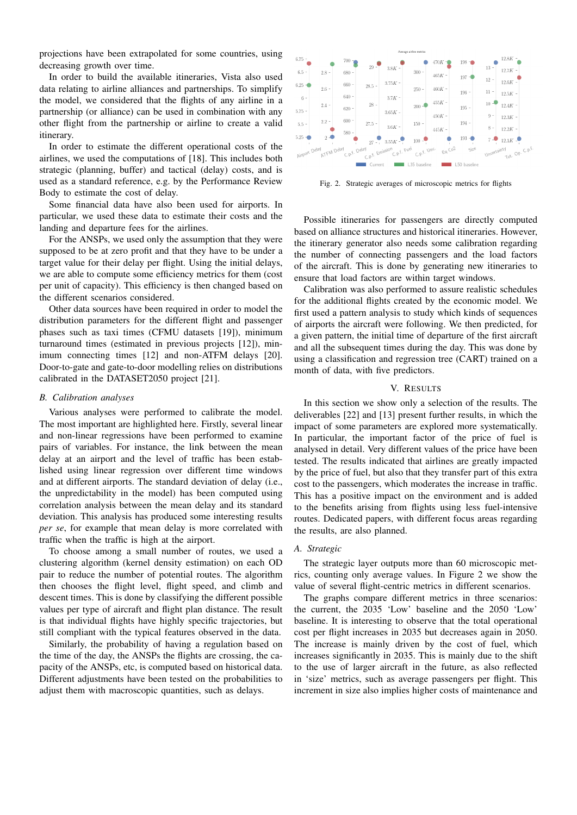projections have been extrapolated for some countries, using decreasing growth over time.

In order to build the available itineraries, Vista also used data relating to airline alliances and partnerships. To simplify the model, we considered that the flights of any airline in a partnership (or alliance) can be used in combination with any other flight from the partnership or airline to create a valid itinerary.

In order to estimate the different operational costs of the airlines, we used the computations of [18]. This includes both strategic (planning, buffer) and tactical (delay) costs, and is used as a standard reference, e.g. by the Performance Review Body to estimate the cost of delay.

Some financial data have also been used for airports. In particular, we used these data to estimate their costs and the landing and departure fees for the airlines.

For the ANSPs, we used only the assumption that they were supposed to be at zero profit and that they have to be under a target value for their delay per flight. Using the initial delays, we are able to compute some efficiency metrics for them (cost per unit of capacity). This efficiency is then changed based on the different scenarios considered.

Other data sources have been required in order to model the distribution parameters for the different flight and passenger phases such as taxi times (CFMU datasets [19]), minimum turnaround times (estimated in previous projects [12]), minimum connecting times [12] and non-ATFM delays [20]. Door-to-gate and gate-to-door modelling relies on distributions calibrated in the DATASET2050 project [21].

#### *B. Calibration analyses*

Various analyses were performed to calibrate the model. The most important are highlighted here. Firstly, several linear and non-linear regressions have been performed to examine pairs of variables. For instance, the link between the mean delay at an airport and the level of traffic has been established using linear regression over different time windows and at different airports. The standard deviation of delay (i.e., the unpredictability in the model) has been computed using correlation analysis between the mean delay and its standard deviation. This analysis has produced some interesting results *per se*, for example that mean delay is more correlated with traffic when the traffic is high at the airport.

To choose among a small number of routes, we used a clustering algorithm (kernel density estimation) on each OD pair to reduce the number of potential routes. The algorithm then chooses the flight level, flight speed, and climb and descent times. This is done by classifying the different possible values per type of aircraft and flight plan distance. The result is that individual flights have highly specific trajectories, but still compliant with the typical features observed in the data.

Similarly, the probability of having a regulation based on the time of the day, the ANSPs the flights are crossing, the capacity of the ANSPs, etc, is computed based on historical data. Different adjustments have been tested on the probabilities to adjust them with macroscopic quantities, such as delays.



Fig. 2. Strategic averages of microscopic metrics for flights

Possible itineraries for passengers are directly computed based on alliance structures and historical itineraries. However, the itinerary generator also needs some calibration regarding the number of connecting passengers and the load factors of the aircraft. This is done by generating new itineraries to ensure that load factors are within target windows.

Calibration was also performed to assure realistic schedules for the additional flights created by the economic model. We first used a pattern analysis to study which kinds of sequences of airports the aircraft were following. We then predicted, for a given pattern, the initial time of departure of the first aircraft and all the subsequent times during the day. This was done by using a classification and regression tree (CART) trained on a month of data, with five predictors.

#### V. RESULTS

In this section we show only a selection of the results. The deliverables [22] and [13] present further results, in which the impact of some parameters are explored more systematically. In particular, the important factor of the price of fuel is analysed in detail. Very different values of the price have been tested. The results indicated that airlines are greatly impacted by the price of fuel, but also that they transfer part of this extra cost to the passengers, which moderates the increase in traffic. This has a positive impact on the environment and is added to the benefits arising from flights using less fuel-intensive routes. Dedicated papers, with different focus areas regarding the results, are also planned.

#### *A. Strategic*

The strategic layer outputs more than 60 microscopic metrics, counting only average values. In Figure 2 we show the value of several flight-centric metrics in different scenarios.

The graphs compare different metrics in three scenarios: the current, the 2035 'Low' baseline and the 2050 'Low' baseline. It is interesting to observe that the total operational cost per flight increases in 2035 but decreases again in 2050. The increase is mainly driven by the cost of fuel, which increases significantly in 2035. This is mainly due to the shift to the use of larger aircraft in the future, as also reflected in 'size' metrics, such as average passengers per flight. This increment in size also implies higher costs of maintenance and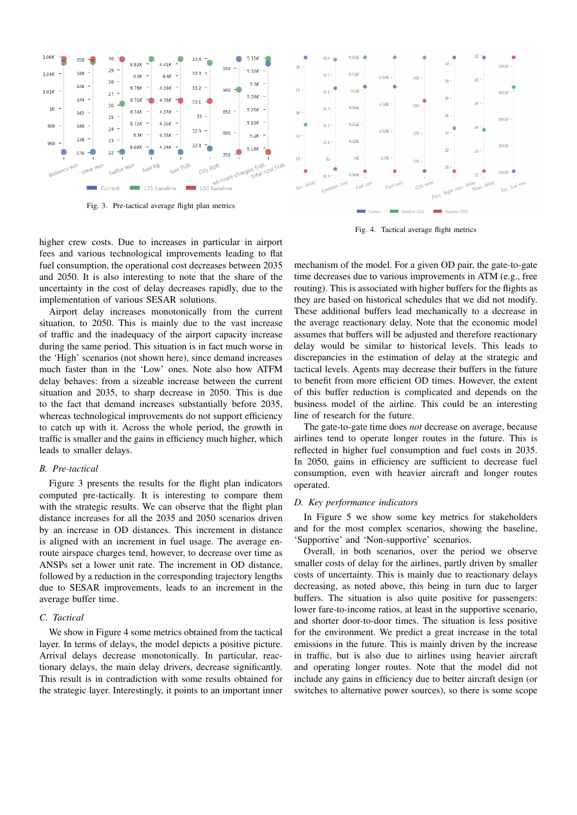

Fig. 3. Pre-tactical average flight plan metrics



Fig. 4. Tactical average flight metrics

higher crew costs. Due to increases in particular in airport fees and various technological improvements leading to flat fuel consumption, the operational cost decreases between 2035 and 2050. It is also interesting to note that the share of the uncertainty in the cost of delay decreases rapidly, due to the implementation of various SESAR solutions.

Airport delay increases monotonically from the current situation, to 2050. This is mainly due to the vast increase of traffic and the inadequacy of the airport capacity increase during the same period. This situation is in fact much worse in the 'High' scenarios (not shown here), since demand increases much faster than in the 'Low' ones. Note also how ATFM delay behaves: from a sizeable increase between the current situation and 2035, to sharp decrease in 2050. This is due to the fact that demand increases substantially before 2035, whereas technological improvements do not support efficiency to catch up with it. Across the whole period, the growth in traffic is smaller and the gains in efficiency much higher, which leads to smaller delays.

#### *B. Pre-tactical*

Figure 3 presents the results for the flight plan indicators computed pre-tactically. It is interesting to compare them with the strategic results. We can observe that the flight plan distance increases for all the 2035 and 2050 scenarios driven by an increase in OD distances. This increment in distance is aligned with an increment in fuel usage. The average enroute airspace charges tend, however, to decrease over time as ANSPs set a lower unit rate. The increment in OD distance, followed by a reduction in the corresponding trajectory lengths due to SESAR improvements, leads to an increment in the average buffer time.

### *C. Tactical*

We show in Figure 4 some metrics obtained from the tactical layer. In terms of delays, the model depicts a positive picture. Arrival delays decrease monotonically. In particular, reactionary delays, the main delay drivers, decrease significantly. This result is in contradiction with some results obtained for the strategic layer. Interestingly, it points to an important inner mechanism of the model. For a given OD pair, the gate-to-gate time decreases due to various improvements in ATM (e.g., free routing). This is associated with higher buffers for the flights as they are based on historical schedules that we did not modify. These additional buffers lead mechanically to a decrease in the average reactionary delay. Note that the economic model assumes that buffers will be adjusted and therefore reactionary delay would be similar to historical levels. This leads to discrepancies in the estimation of delay at the strategic and tactical levels. Agents may decrease their buffers in the future to benefit from more efficient OD times. However, the extent of this buffer reduction is complicated and depends on the business model of the airline. This could be an interesting line of research for the future.

The gate-to-gate time does *not* decrease on average, because airlines tend to operate longer routes in the future. This is reflected in higher fuel consumption and fuel costs in 2035. In 2050, gains in efficiency are sufficient to decrease fuel consumption, even with heavier aircraft and longer routes operated.

#### *D. Key performance indicators*

In Figure 5 we show some key metrics for stakeholders and for the most complex scenarios, showing the baseline, 'Supportive' and 'Non-supportive' scenarios.

Overall, in both scenarios, over the period we observe smaller costs of delay for the airlines, partly driven by smaller costs of uncertainty. This is mainly due to reactionary delays decreasing, as noted above, this being in turn due to larger buffers. The situation is also quite positive for passengers: lower fare-to-income ratios, at least in the supportive scenario, and shorter door-to-door times. The situation is less positive for the environment. We predict a great increase in the total emissions in the future. This is mainly driven by the increase in traffic, but is also due to airlines using heavier aircraft and operating longer routes. Note that the model did not include any gains in efficiency due to better aircraft design (or switches to alternative power sources), so there is some scope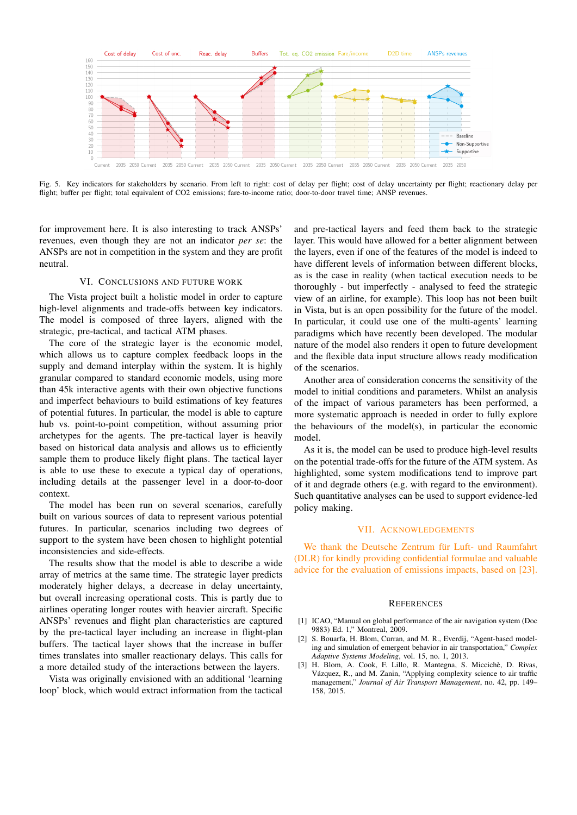

Fig. 5. Key indicators for stakeholders by scenario. From left to right: cost of delay per flight; cost of delay uncertainty per flight; reactionary delay per flight; buffer per flight; total equivalent of CO2 emissions; fare-to-income ratio; door-to-door travel time; ANSP revenues.

for improvement here. It is also interesting to track ANSPs' revenues, even though they are not an indicator *per se*: the ANSPs are not in competition in the system and they are profit neutral.

# VI. CONCLUSIONS AND FUTURE WORK

The Vista project built a holistic model in order to capture high-level alignments and trade-offs between key indicators. The model is composed of three layers, aligned with the strategic, pre-tactical, and tactical ATM phases.

The core of the strategic layer is the economic model, which allows us to capture complex feedback loops in the supply and demand interplay within the system. It is highly granular compared to standard economic models, using more than 45k interactive agents with their own objective functions and imperfect behaviours to build estimations of key features of potential futures. In particular, the model is able to capture hub vs. point-to-point competition, without assuming prior archetypes for the agents. The pre-tactical layer is heavily based on historical data analysis and allows us to efficiently sample them to produce likely flight plans. The tactical layer is able to use these to execute a typical day of operations, including details at the passenger level in a door-to-door context.

The model has been run on several scenarios, carefully built on various sources of data to represent various potential futures. In particular, scenarios including two degrees of support to the system have been chosen to highlight potential inconsistencies and side-effects.

The results show that the model is able to describe a wide array of metrics at the same time. The strategic layer predicts moderately higher delays, a decrease in delay uncertainty, but overall increasing operational costs. This is partly due to airlines operating longer routes with heavier aircraft. Specific ANSPs' revenues and flight plan characteristics are captured by the pre-tactical layer including an increase in flight-plan buffers. The tactical layer shows that the increase in buffer times translates into smaller reactionary delays. This calls for a more detailed study of the interactions between the layers.

Vista was originally envisioned with an additional 'learning loop' block, which would extract information from the tactical

and pre-tactical layers and feed them back to the strategic layer. This would have allowed for a better alignment between the layers, even if one of the features of the model is indeed to have different levels of information between different blocks, as is the case in reality (when tactical execution needs to be thoroughly - but imperfectly - analysed to feed the strategic view of an airline, for example). This loop has not been built in Vista, but is an open possibility for the future of the model. In particular, it could use one of the multi-agents' learning paradigms which have recently been developed. The modular nature of the model also renders it open to future development and the flexible data input structure allows ready modification of the scenarios.

Another area of consideration concerns the sensitivity of the model to initial conditions and parameters. Whilst an analysis of the impact of various parameters has been performed, a more systematic approach is needed in order to fully explore the behaviours of the model(s), in particular the economic model.

As it is, the model can be used to produce high-level results on the potential trade-offs for the future of the ATM system. As highlighted, some system modifications tend to improve part of it and degrade others (e.g. with regard to the environment). Such quantitative analyses can be used to support evidence-led policy making.

#### VII. ACKNOWLEDGEMENTS

We thank the Deutsche Zentrum für Luft- und Raumfahrt (DLR) for kindly providing confidential formulae and valuable advice for the evaluation of emissions impacts, based on [23].

#### **REFERENCES**

- [1] ICAO, "Manual on global performance of the air navigation system (Doc 9883) Ed. 1," Montreal, 2009.
- [2] S. Bouarfa, H. Blom, Curran, and M. R., Everdij, "Agent-based modeling and simulation of emergent behavior in air transportation," *Complex Adaptive Systems Modeling*, vol. 15, no. 1, 2013.
- [3] H. Blom, A. Cook, F. Lillo, R. Mantegna, S. Miccichè, D. Rivas, Vázquez, R., and M. Zanin, "Applying complexity science to air traffic management," *Journal of Air Transport Management*, no. 42, pp. 149– 158, 2015.